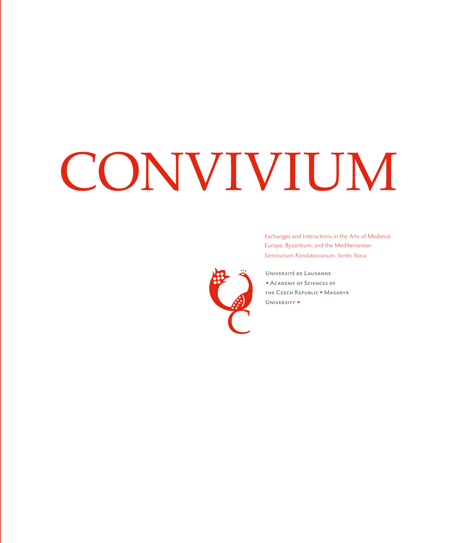# CONVIVIUM



*Seminarium Kondakovianum, Series Nova* Exchanges and Interactions in the Arts of Medieval Europe, Byzantium, and the Mediterranean

Université de Lausanne • ACADEMY OF SCIENCES OF the Czech Republic • Masaryk University •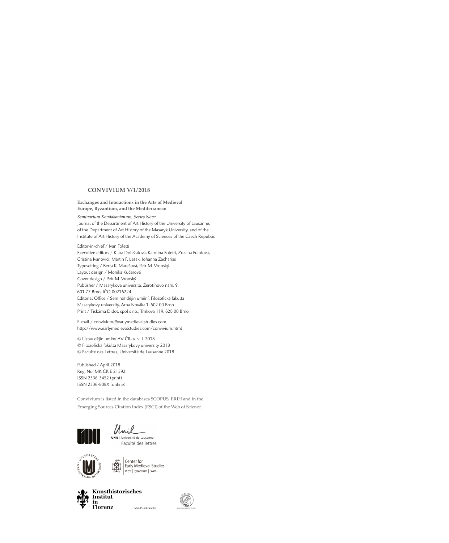#### **CONVIVIUM V/ 1 / 2018**

**Exchanges and Interactions in the Arts of Medieval Europe, Byzantium, and the Mediterranean**

*Seminarium Kondakovianum, Series Nova* Journal of the Department of Art History of the University of Lausanne, of the Department of Art History of the Masaryk University, and of the Institute of Art History of the Academy of Sciences of the Czech Republic

Editor-in-chief / Ivan Foletti Executive editors / Klára Doležalová, Karolina Foletti, Zuzana Frantová, Cristina Ivanovici, Martin F. Lešák, Johanna Zacharias Typesetting / Berta K. Marešová, Petr M. Vronský Layout design / Monika Kučerová Cover design / Petr M. Vronský Publisher / Masarykova univerzita, Žerotínovo nám. 9, 601 77 Brno, IČO 00216224 Editorial Office / Seminář dějin umění, Filozofická fakulta Masarykovy univerzity, Arna Nováka 1, 602 00 Brno Print / Tiskárna Didot, spol s r.o., Trnkova 119, 628 00 Brno

E-mail / convivium@earlymedievalstudies.com http://www.earlymedievalstudies.com/convivium.html

© Ústav dějin umění AV ČR, v. v. i. 2018 © Filozofická fakulta Masarykovy univerzity 2018 © Faculté des Lettres, Université de Lausanne 2018

Published / April 2018 Reg. No. MK ČR E 21592 ISSN 2336-3452 (print) ISSN 2336-808X (online)

Convivium is listed in the databases SCOPUS, ERIH and in the Emerging Sources Citation Index (ESCI) of the Web of Science.







 $\begin{array}{|l|} \hline \textbf{Center for} \\ \hline \textbf{Early Medicine} \\ \textbf{West} & \text{Byzantium} \mid \textbf{Islam} \end{array}$ 爋



Max-Planck-Institut

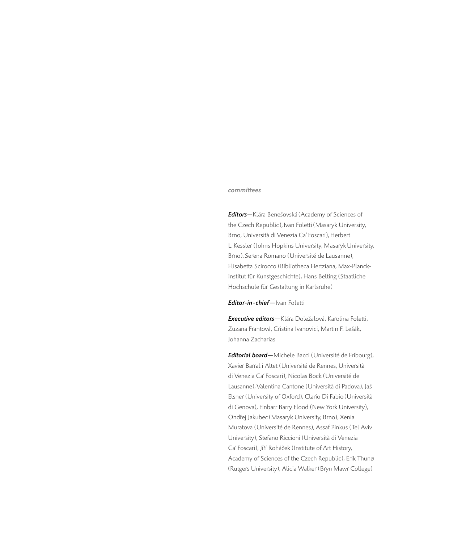#### committees

*Editors—*Klára Benešovská (Academy of Sciences of the Czech Republic), Ivan Foletti (Masaryk University, Brno, Università di Venezia Ca' Foscari), Herbert L.Kessler (Johns Hopkins University, Masaryk University, Brno), Serena Romano (Université de Lausanne), Elisabetta Scirocco (Bibliotheca Hertziana, Max-Planck-Institut für Kunstgeschichte), Hans Belting (Staatliche Hochschule für Gestaltung in Karlsruhe)

### *Editor-in-chief —*Ivan Foletti

*Executive editors—*Klára Doležalová, Karolina Foletti, Zuzana Frantová, Cristina Ivanovici, Martin F. Lešák, Johanna Zacharias

*Editorial board—*Michele Bacci (Université de Fribourg), Xavier Barral i Altet (Université de Rennes, Università di Venezia Ca' Foscari), Nicolas Bock (Université de Lausanne), Valentina Cantone (Università di Padova), Jaś Elsner (University of Oxford), Clario Di Fabio (Università di Genova), Finbarr Barry Flood (New York University), Ondřej Jakubec (Masaryk University, Brno), Xenia Muratova (Université de Rennes), Assaf Pinkus (Tel Aviv University), Stefano Riccioni (Università di Venezia Ca' Foscari), Jiří Roháček (Institute of Art History, Academy of Sciences of the Czech Republic), Erik Thunø (Rutgers University), Alicia Walker (Bryn Mawr College)